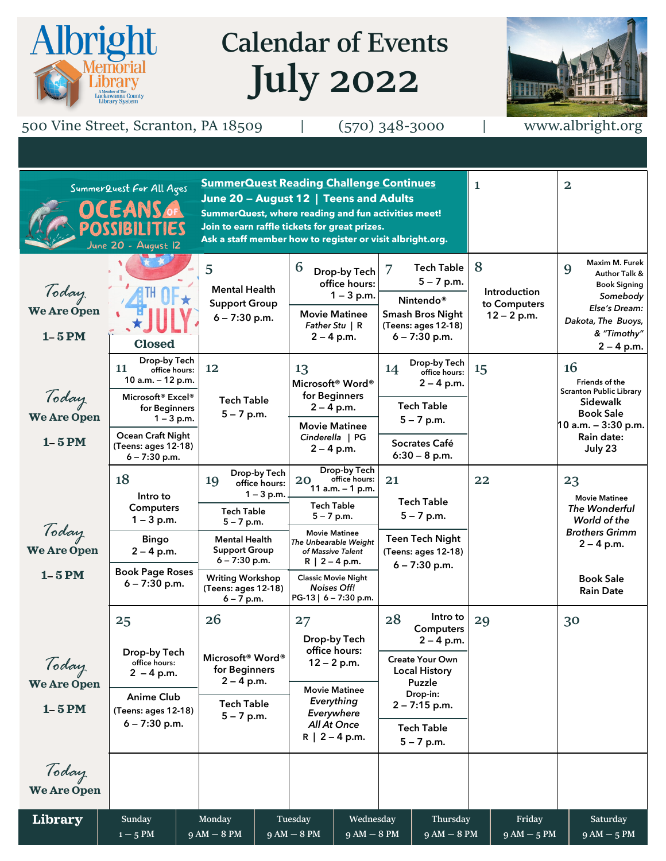# **Calendar of Events July 2022**



500 Vine Street, Scranton, PA 18509 | (570) 348-3000 | www.albright.org

Albright

| <b>SummerQuest Reading Challenge Continues</b><br>SummerQuest For All Ages<br>June 20 - August 12   Teens and Adults<br><b>DCEANS OF</b><br>SummerQuest, where reading and fun activities meet!<br>Join to earn raffle tickets for great prizes.<br>Ask a staff member how to register or visit albright.org.<br>June 20 - August 12 |                                                                                                                                                                                                              |                                                                                                                                                                                                                               |                                                                                                                                                                                                                                                                       |                                                                                                                                                                             | $\mathbf{1}$                                              | $\overline{\mathbf{2}}$                                                                                                                           |
|--------------------------------------------------------------------------------------------------------------------------------------------------------------------------------------------------------------------------------------------------------------------------------------------------------------------------------------|--------------------------------------------------------------------------------------------------------------------------------------------------------------------------------------------------------------|-------------------------------------------------------------------------------------------------------------------------------------------------------------------------------------------------------------------------------|-----------------------------------------------------------------------------------------------------------------------------------------------------------------------------------------------------------------------------------------------------------------------|-----------------------------------------------------------------------------------------------------------------------------------------------------------------------------|-----------------------------------------------------------|---------------------------------------------------------------------------------------------------------------------------------------------------|
| Today<br><b>We Are Open</b><br>$1 - 5$ PM                                                                                                                                                                                                                                                                                            | <b>Closed</b>                                                                                                                                                                                                | 5<br><b>Mental Health</b><br><b>Support Group</b><br>$6 - 7:30$ p.m.                                                                                                                                                          | 6<br>Drop-by Tech<br>office hours:<br>$1 - 3$ p.m.<br><b>Movie Matinee</b><br>Father Stu $\mid$ R<br>$2 - 4$ p.m.                                                                                                                                                     | <b>Tech Table</b><br>7<br>$5 - 7$ p.m.<br>Nintendo <sup>®</sup><br><b>Smash Bros Night</b><br>(Teens: ages 12-18)<br>$6 - 7:30$ p.m.                                        | 8<br><b>Introduction</b><br>to Computers<br>$12 - 2 p.m.$ | Maxim M. Furek<br>9<br><b>Author Talk &amp;</b><br>Book Signing<br>Somebody<br>Else's Dream:<br>Dakota, The Buoys,<br>& "Timothy"<br>$2 - 4$ p.m. |
| Today<br><b>We Are Open</b><br>$1 - 5$ PM                                                                                                                                                                                                                                                                                            | Drop-by Tech<br>11<br>office hours:<br>10 a.m. - 12 p.m.<br>Microsoft <sup>®</sup> Excel <sup>®</sup><br>for Beginners<br>$1 - 3$ p.m.<br><b>Ocean Craft Night</b><br>(Teens: ages 12-18)<br>$6 - 7:30$ p.m. | 12<br><b>Tech Table</b><br>$5 - 7$ p.m.                                                                                                                                                                                       | 13<br>Microsoft <sup>®</sup> Word <sup>®</sup><br>for Beginners<br>$2 - 4$ p.m.<br><b>Movie Matinee</b><br>Cinderella   PG<br>$2 - 4$ p.m.                                                                                                                            | Drop-by Tech<br>14<br>office hours:<br>$2 - 4$ p.m.<br><b>Tech Table</b><br>$5 - 7$ p.m.<br>Socrates Café<br>$6:30 - 8$ p.m.                                                | 15                                                        | 16<br>Friends of the<br><b>Scranton Public Library</b><br>Sidewalk<br><b>Book Sale</b><br>$10$ a.m. $-3:30$ p.m.<br>Rain date:<br>July 23         |
| Today<br>We Are Open<br>$1 - 5$ PM                                                                                                                                                                                                                                                                                                   | 18<br>Intro to<br><b>Computers</b><br>$1 - 3$ p.m.<br><b>Bingo</b><br>$2 - 4$ p.m.<br><b>Book Page Roses</b><br>$6 - 7:30$ p.m.                                                                              | Drop-by Tech<br>19<br>office hours:<br>$1 - 3$ p.m.<br><b>Tech Table</b><br>$5 - 7$ p.m.<br><b>Mental Health</b><br><b>Support Group</b><br>$6 - 7:30$ p.m.<br><b>Writing Workshop</b><br>(Teens: ages 12-18)<br>$6 - 7$ p.m. | Drop-by Tech<br>office hours:<br>20<br>11 $a.m. - 1 p.m.$<br><b>Tech Table</b><br>$5 - 7$ p.m.<br><b>Movie Matinee</b><br>The Unbearable Weight<br>of Massive Talent<br>$R$   2 – 4 p.m.<br><b>Classic Movie Night</b><br><b>Noises Off!</b><br>PG-13   6 - 7:30 p.m. | 21<br><b>Tech Table</b><br>$5 - 7$ p.m.<br><b>Teen Tech Night</b><br>(Teens: ages 12-18)<br>$6 - 7:30$ p.m.                                                                 | 22                                                        | 23<br><b>Movie Matinee</b><br>The Wonderful<br>World of the<br><b>Brothers Grimm</b><br>$2 - 4$ p.m.<br><b>Book Sale</b><br><b>Rain Date</b>      |
| Today<br>We Are Open<br>$1 - 5$ PM                                                                                                                                                                                                                                                                                                   | 25<br>Drop-by Tech<br>office hours:<br>$2 - 4 p.m.$<br><b>Anime Club</b><br>(Teens: ages 12-18)<br>$6 - 7:30$ p.m.                                                                                           | 26<br>Microsoft <sup>®</sup> Word®<br>for Beginners<br>$2 - 4$ p.m.<br><b>Tech Table</b><br>$5 - 7$ p.m.                                                                                                                      | 27<br>Drop-by Tech<br>office hours:<br>$12 - 2 p.m.$<br><b>Movie Matinee</b><br>Everything<br>Everywhere<br>All At Once<br>$R$   2 – 4 p.m.                                                                                                                           | Intro to<br>28<br>Computers<br>$2 - 4$ p.m.<br><b>Create Your Own</b><br><b>Local History</b><br>Puzzle<br>Drop-in:<br>$2 - 7:15$ p.m.<br><b>Tech Table</b><br>$5 - 7$ p.m. | 29                                                        | 30                                                                                                                                                |
| Today<br><b>We Are Open</b><br>Library                                                                                                                                                                                                                                                                                               | Sunday<br>$1 - 5$ PM                                                                                                                                                                                         | <b>Monday</b><br>$9AM - 8PM$                                                                                                                                                                                                  | Tuesday<br>Wednesday<br>$9AM - 8PM$<br>$9AM - 8PM$                                                                                                                                                                                                                    | Thursday<br>$9 AM - 8 PM$                                                                                                                                                   | Friday<br>$9AM - 5PM$                                     | Saturday<br>$9AM - 5PM$                                                                                                                           |